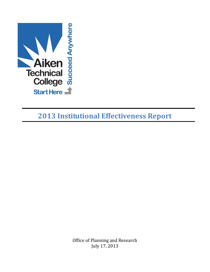

**2013 Institutional Effectiveness Report**

Office of Planning and Research July 17, 2013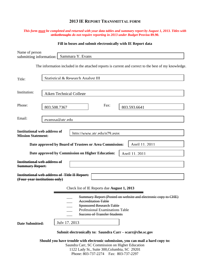# **2013 IE REPORT TRANSMITTAL FORM**

### *This form must be completed and returned with your data tables and summary report by August 1, 2013. Titles with strikethroughs do not require reporting in 2013 under Budget* **Proviso 89.90.**

## **Fill in boxes and submit electronically with IE Report data**

| Name of person<br>submitting information:                        | Sammara Y. Evans                                                                                                                                                                                             |
|------------------------------------------------------------------|--------------------------------------------------------------------------------------------------------------------------------------------------------------------------------------------------------------|
|                                                                  | The information included in the attached reports is current and correct to the best of my knowledge.                                                                                                         |
| Title:                                                           | Statistical & Research Analyst III                                                                                                                                                                           |
| Institution:                                                     | Aiken Technical College                                                                                                                                                                                      |
| Phone:                                                           | Fax:<br>803.508.7367<br>803.593.6641                                                                                                                                                                         |
| Email:                                                           | evanssa@atc.edu                                                                                                                                                                                              |
| <b>Institutional web address of</b><br><b>Mission Statement:</b> | http://www.atc.edu/n79.asnx                                                                                                                                                                                  |
|                                                                  | Date approved by Board of Trustees or Area Commission:<br>April 11, 2011                                                                                                                                     |
|                                                                  | Date approved by Commission on Higher Education:<br>Anril 11. 2011                                                                                                                                           |
| <b>Institutional web address of</b><br><b>Summary Report:</b>    |                                                                                                                                                                                                              |
| (Four-year institutions only)                                    | <b>Institutional web address of Title II Report:</b>                                                                                                                                                         |
|                                                                  | Check list of IE Reports due <b>August 1, 2013</b>                                                                                                                                                           |
|                                                                  | Summary Report (Posted on website and electronic copy to CHE)<br><b>Accreditation Table</b><br><b>Sponsored Research Table</b><br>Professional Examinations Table<br><b>Success of Transfer Students</b>     |
| <b>Date Submitted:</b>                                           | July 17, 2013                                                                                                                                                                                                |
|                                                                  | Submit electronically to: Saundra Carr – scarr@che.sc.gov                                                                                                                                                    |
|                                                                  | Should you have trouble with electronic submission, you can mail a hard copy to:<br>Saundra Carr, SC Commission on Higher Education<br>$1122$ Ledy $R_1$ , $R_{\text{tr}}$ and $200$ Celumbic, $R_1$ , 20201 |

1122 Lady St., Suite 300,Columbia, SC 29201 Phone: 803-737-2274 Fax: 803-737-2297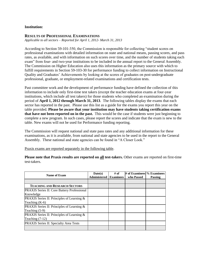### **Institution:**

#### **RESULTS OF PROFESSIONAL EXAMINATIONS**

*Applicable to all sectors – Reported for April 1, 2012- March 31, 2013*

According to Section 59-101-350, the Commission is responsible for collecting "student scores on professional examinations with detailed information on state and national means, passing scores, and pass rates, as available, and with information on such scores over time, and the number of students taking each exam" from four- and two-year institutions to be included in the annual report to the General Assembly. The Commission on Higher Education also uses this information as the primary source with which to fulfill requirements in Section 59-103-30 for performance funding to collect information on Instructional Quality and Graduates' Achievements by looking at the scores of graduates on post-undergraduate professional, graduate, or employment-related examinations and certification tests.

Past committee work and the development of performance funding have defined the collection of this information to include only first-time test takers (except the teacher education exams at four-year institutions, which include all test takers) for those students who completed an examination during the period of **April 1, 2012 through March 31, 2013**. The following tables display the exams that each sector has reported in the past. Please use this list as a guide for the exams you report this year on the table provided. **Please be aware that your institution may have students taking certification exams that have not been reported on in the past.** This would be the case if students were just beginning to complete a new program. In such cases, please report the scores and indicate that the exam is new to the table. New exams will not be used for Performance funding reporting.

The Commission will request national and state pass rates and any additional information for these examinations, as it is available, from national and state agencies to be used in the report to the General Assembly. These national and state agencies can be found in "A Closer Look."

Praxis exams are reported separately in the following table.

**Please note that Praxis results are reported on all test-takers.** Other exams are reported on first-time test-takers.

| Name of Exam                                         | Date(s)<br><b>Administered</b> | $#$ of<br><b>Examinees</b> | # of Examinees % Examinees<br>who Passed |         |
|------------------------------------------------------|--------------------------------|----------------------------|------------------------------------------|---------|
|                                                      |                                |                            |                                          | Passing |
|                                                      |                                |                            |                                          |         |
| <b>TEACHING AND RESEARCH SECTORS</b>                 |                                |                            |                                          |         |
| <b>PRAXIS</b> Series II: Core Battery Professional   |                                |                            |                                          |         |
| Knowledge                                            |                                |                            |                                          |         |
| <b>PRAXIS</b> Series II: Principles of Learning $\&$ |                                |                            |                                          |         |
| Teaching $(K-6)$                                     |                                |                            |                                          |         |
| <b>PRAXIS</b> Series II: Principles of Learning $\&$ |                                |                            |                                          |         |
| Teaching $(5-9)$                                     |                                |                            |                                          |         |
| PRAXIS Series II: Principles of Learning &           |                                |                            |                                          |         |
| Teaching $(7-12)$                                    |                                |                            |                                          |         |
| PRAXIS Series II: Specialty Area Tests               |                                |                            |                                          |         |
|                                                      |                                |                            |                                          |         |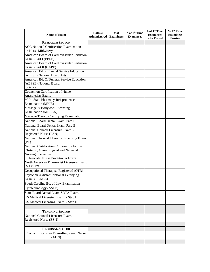| Name of Exam                                                        | Date(s)<br>Administered | # of<br><b>Examinees</b> | # of 1 <sup>st</sup> Time<br><b>Examinees</b> | # of $1st$ Time<br><b>Examinees</b><br>who Passed | $% 1st$ Time<br><b>Examinees</b><br>Passing |
|---------------------------------------------------------------------|-------------------------|--------------------------|-----------------------------------------------|---------------------------------------------------|---------------------------------------------|
| <b>RESEARCH SECTOR</b>                                              |                         |                          |                                               |                                                   |                                             |
| <b>ACC National Certification Examination</b>                       |                         |                          |                                               |                                                   |                                             |
| in Nurse Midwifery                                                  |                         |                          |                                               |                                                   |                                             |
| American Board of Cardiovascular Perfusion                          |                         |                          |                                               |                                                   |                                             |
| Exam - Part I (PBSE)                                                |                         |                          |                                               |                                                   |                                             |
| American Board of Cardiovascular Perfusion<br>Exam - Part II (CAPE) |                         |                          |                                               |                                                   |                                             |
| American Bd of Funeral Service Education                            |                         |                          |                                               |                                                   |                                             |
| (ABFSE) National Board Arts                                         |                         |                          |                                               |                                                   |                                             |
| American Bd. Of Funeral Service Education                           |                         |                          |                                               |                                                   |                                             |
| (ABFSE) National Board                                              |                         |                          |                                               |                                                   |                                             |
| Science                                                             |                         |                          |                                               |                                                   |                                             |
| Council on Certification of Nurse                                   |                         |                          |                                               |                                                   |                                             |
| Anesthetists Exam.                                                  |                         |                          |                                               |                                                   |                                             |
| Multi-State Pharmacy Jurisprudence                                  |                         |                          |                                               |                                                   |                                             |
| <b>Examination</b> (MPJE)                                           |                         |                          |                                               |                                                   |                                             |
| Massage & Bodywork Licensing                                        |                         |                          |                                               |                                                   |                                             |
| <b>Examination</b> (MBLEX)                                          |                         |                          |                                               |                                                   |                                             |
| Massage Therapy Certifying Examination                              |                         |                          |                                               |                                                   |                                             |
| National Board Dental Exam, Part I                                  |                         |                          |                                               |                                                   |                                             |
| National Board Dental Exam, Part II                                 |                         |                          |                                               |                                                   |                                             |
| National Council Licensure Exam. -                                  |                         |                          |                                               |                                                   |                                             |
| Registered Nurse (BSN)                                              |                         |                          |                                               |                                                   |                                             |
| National Physical Therapist Licensing Exam.<br>(PT)                 |                         |                          |                                               |                                                   |                                             |
| National Certification Corporation for the                          |                         |                          |                                               |                                                   |                                             |
| Obstetric, Gynecological and Neonatal                               |                         |                          |                                               |                                                   |                                             |
| Nursing Specialties:                                                |                         |                          |                                               |                                                   |                                             |
| Neonatal Nurse Practitioner Exam.                                   |                         |                          |                                               |                                                   |                                             |
| North American Pharmacist Licensure Exam.                           |                         |                          |                                               |                                                   |                                             |
| (NAPLEX)                                                            |                         |                          |                                               |                                                   |                                             |
| Occupational Therapist, Registered (OTR)                            |                         |                          |                                               |                                                   |                                             |
| Physician Assistant National Certifying<br>Exam. (PANCE)            |                         |                          |                                               |                                                   |                                             |
| South Carolina Bd. of Law Examination                               |                         |                          |                                               |                                                   |                                             |
| Cytotechnology (ASCP)                                               |                         |                          |                                               |                                                   |                                             |
| State Board Dental Exam-SRTA Exam.                                  |                         |                          |                                               |                                                   |                                             |
| US Medical Licensing Exam. - Step I                                 |                         |                          |                                               |                                                   |                                             |
| US Medical Licensing Exam. - Step II                                |                         |                          |                                               |                                                   |                                             |
|                                                                     |                         |                          |                                               |                                                   |                                             |
| <b>TEACHING SECTOR</b>                                              |                         |                          |                                               |                                                   |                                             |
| National Council Licensure Exam. -                                  |                         |                          |                                               |                                                   |                                             |
| Registered Nurse (BSN)                                              |                         |                          |                                               |                                                   |                                             |
|                                                                     |                         |                          |                                               |                                                   |                                             |
| <b>REGIONAL SECTOR</b>                                              |                         |                          |                                               |                                                   |                                             |
| Council Licensure Exam-Registered Nurse                             |                         |                          |                                               |                                                   |                                             |
| (ADN)                                                               |                         |                          |                                               |                                                   |                                             |
|                                                                     |                         |                          |                                               |                                                   |                                             |